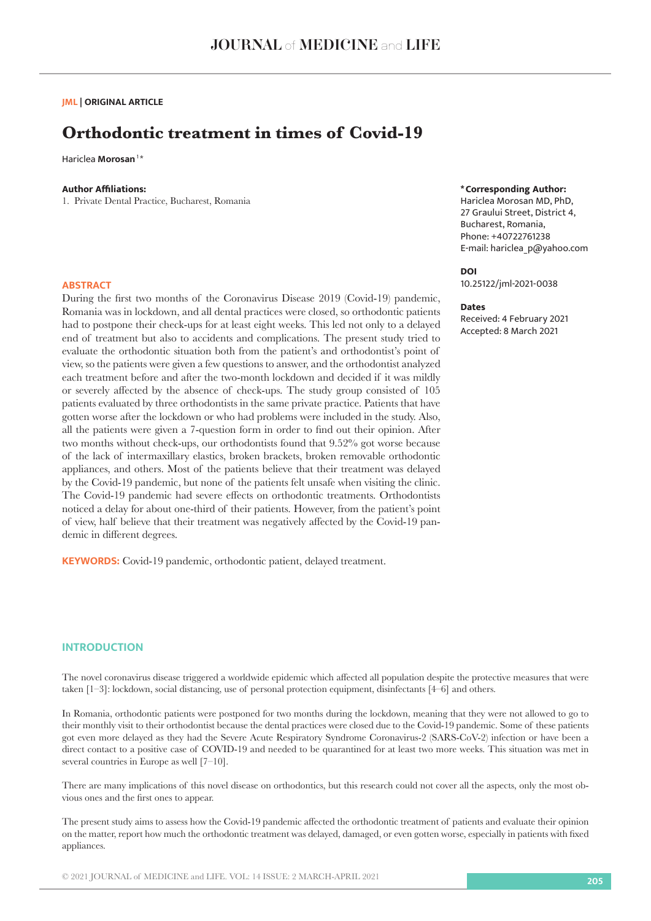**JML | ORIGINAL ARTICLE**

# **Orthodontic treatment in times of Covid-19**

Hariclea **Morosan** 1 \*

# **Author Affiliations:**

1. Private Dental Practice, Bucharest, Romania

#### **ABSTRACT**

During the first two months of the Coronavirus Disease 2019 (Covid-19) pandemic, Romania was in lockdown, and all dental practices were closed, so orthodontic patients had to postpone their check-ups for at least eight weeks. This led not only to a delayed end of treatment but also to accidents and complications. The present study tried to evaluate the orthodontic situation both from the patient's and orthodontist's point of view, so the patients were given a few questions to answer, and the orthodontist analyzed each treatment before and after the two-month lockdown and decided if it was mildly or severely affected by the absence of check-ups. The study group consisted of 105 patients evaluated by three orthodontists in the same private practice. Patients that have gotten worse after the lockdown or who had problems were included in the study. Also, all the patients were given a 7-question form in order to find out their opinion. After two months without check-ups, our orthodontists found that 9.52% got worse because of the lack of intermaxillary elastics, broken brackets, broken removable orthodontic appliances, and others. Most of the patients believe that their treatment was delayed by the Covid-19 pandemic, but none of the patients felt unsafe when visiting the clinic. The Covid-19 pandemic had severe effects on orthodontic treatments. Orthodontists noticed a delay for about one-third of their patients. However, from the patient's point of view, half believe that their treatment was negatively affected by the Covid-19 pandemic in different degrees.

**KEYWORDS:** Covid-19 pandemic, orthodontic patient, delayed treatment.

## **\*Corresponding Author:**

Hariclea Morosan MD, PhD, 27 Graului Street, District 4, Bucharest, Romania, Phone: +40722761238 E-mail: hariclea\_p@yahoo.com

#### **DOI**

10.25122/jml-2021-0038

#### **Dates**

Received: 4 February 2021 Accepted: 8 March 2021

## **INTRODUCTION**

The novel coronavirus disease triggered a worldwide epidemic which affected all population despite the protective measures that were taken [1–3]: lockdown, social distancing, use of personal protection equipment, disinfectants [4–6] and others.

In Romania, orthodontic patients were postponed for two months during the lockdown, meaning that they were not allowed to go to their monthly visit to their orthodontist because the dental practices were closed due to the Covid-19 pandemic. Some of these patients got even more delayed as they had the Severe Acute Respiratory Syndrome Coronavirus-2 (SARS-CoV-2) infection or have been a direct contact to a positive case of COVID-19 and needed to be quarantined for at least two more weeks. This situation was met in several countries in Europe as well [7–10].

There are many implications of this novel disease on orthodontics, but this research could not cover all the aspects, only the most obvious ones and the first ones to appear.

The present study aims to assess how the Covid-19 pandemic affected the orthodontic treatment of patients and evaluate their opinion on the matter, report how much the orthodontic treatment was delayed, damaged, or even gotten worse, especially in patients with fixed appliances.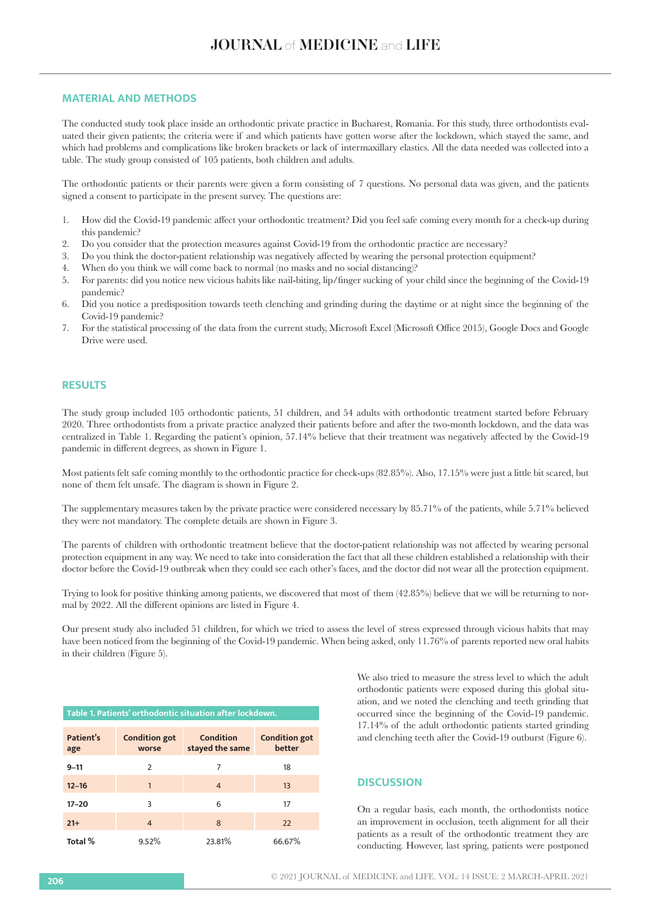# **MATERIAL AND METHODS**

The conducted study took place inside an orthodontic private practice in Bucharest, Romania. For this study, three orthodontists evaluated their given patients; the criteria were if and which patients have gotten worse after the lockdown, which stayed the same, and which had problems and complications like broken brackets or lack of intermaxillary elastics. All the data needed was collected into a table. The study group consisted of 105 patients, both children and adults.

The orthodontic patients or their parents were given a form consisting of 7 questions. No personal data was given, and the patients signed a consent to participate in the present survey. The questions are:

- 1. How did the Covid-19 pandemic affect your orthodontic treatment? Did you feel safe coming every month for a check-up during this pandemic?
- 2. Do you consider that the protection measures against Covid-19 from the orthodontic practice are necessary?
- 3. Do you think the doctor-patient relationship was negatively affected by wearing the personal protection equipment?
- 4. When do you think we will come back to normal (no masks and no social distancing)?
- 5. For parents: did you notice new vicious habits like nail-biting, lip/finger sucking of your child since the beginning of the Covid-19 pandemic?
- 6. Did you notice a predisposition towards teeth clenching and grinding during the daytime or at night since the beginning of the Covid-19 pandemic?
- 7. For the statistical processing of the data from the current study, Microsoft Excel (Microsoft Office 2015), Google Docs and Google Drive were used.

## **RESULTS**

The study group included 105 orthodontic patients, 51 children, and 54 adults with orthodontic treatment started before February 2020. Three orthodontists from a private practice analyzed their patients before and after the two-month lockdown, and the data was centralized in Table 1. Regarding the patient's opinion, 57.14% believe that their treatment was negatively affected by the Covid-19 pandemic in different degrees, as shown in Figure 1.

Most patients felt safe coming monthly to the orthodontic practice for check-ups (82.85%). Also, 17.15% were just a little bit scared, but none of them felt unsafe. The diagram is shown in Figure 2.

The supplementary measures taken by the private practice were considered necessary by 85.71% of the patients, while 5.71% believed they were not mandatory. The complete details are shown in Figure 3.

The parents of children with orthodontic treatment believe that the doctor-patient relationship was not affected by wearing personal protection equipment in any way. We need to take into consideration the fact that all these children established a relationship with their doctor before the Covid-19 outbreak when they could see each other's faces, and the doctor did not wear all the protection equipment.

Trying to look for positive thinking among patients, we discovered that most of them (42.85%) believe that we will be returning to normal by 2022. All the different opinions are listed in Figure 4.

Our present study also included 51 children, for which we tried to assess the level of stress expressed through vicious habits that may have been noticed from the beginning of the Covid-19 pandemic. When being asked, only 11.76% of parents reported new oral habits in their children (Figure 5).

| Table 1. Patients' orthodontic situation after lockdown. |                               |                                     |                                |
|----------------------------------------------------------|-------------------------------|-------------------------------------|--------------------------------|
| Patient's<br>age                                         | <b>Condition got</b><br>worse | <b>Condition</b><br>stayed the same | <b>Condition got</b><br>better |
| $9 - 11$                                                 | $\mathcal{P}$                 | 7                                   | 18                             |
| $12 - 16$                                                | 1                             | $\overline{4}$                      | 13                             |
| $17 - 20$                                                | 3                             | 6                                   | 17                             |
| $21+$                                                    | $\overline{4}$                | 8                                   | 22                             |
| Total %                                                  | 9.52%                         | 23.81%                              | 66.67%                         |

We also tried to measure the stress level to which the adult orthodontic patients were exposed during this global situation, and we noted the clenching and teeth grinding that occurred since the beginning of the Covid-19 pandemic. 17.14% of the adult orthodontic patients started grinding and clenching teeth after the Covid-19 outburst (Figure 6).

# **DISCUSSION**

On a regular basis, each month, the orthodontists notice an improvement in occlusion, teeth alignment for all their patients as a result of the orthodontic treatment they are conducting. However, last spring, patients were postponed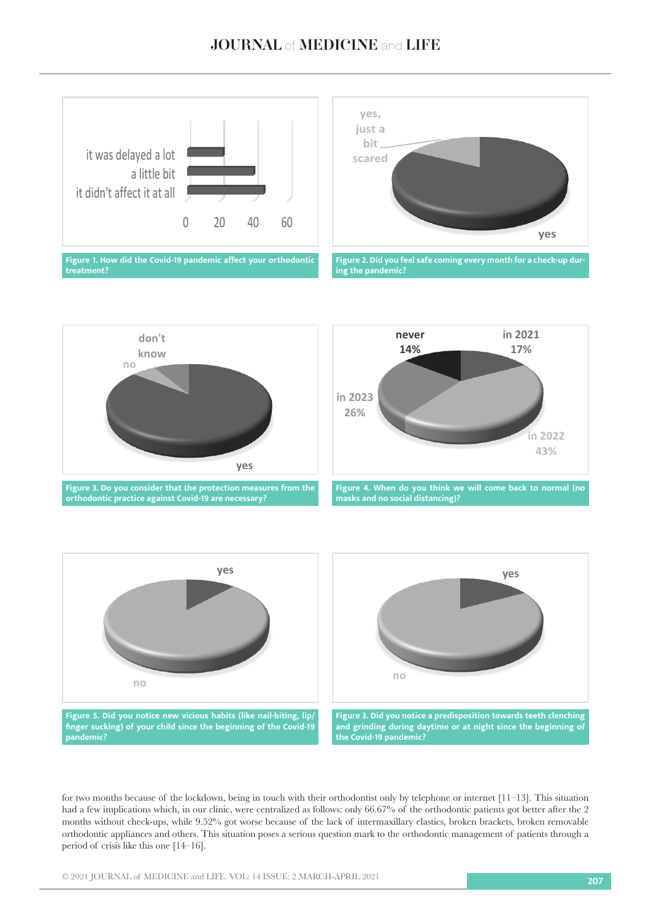**just a** 





for two months because of the lockdown, being in touch with their orthodontist only by telephone or internet [11-13]. This situation child since the beginning of the Covid-19 pandemic of the Covid-19 pandemic mandemic. The control of patients through a orthodontic appliances and others. This situation poses a serious question mark to the orthodontic man had a few implications which, in our clinic, were centralized as follows: only 66.67% of the orthodontic patients got better after the 2 months without check-ups, while 9.52% got worse because of the lack of intermaxillary elastics, broken brackets, broken removable period of crisis like this one [14–16].

© 2021 JOURNAL of MEDICINE and LIFE. VOL: 14 ISSUE: 2 MARCH-APRIL 2021 **<sup>207</sup>**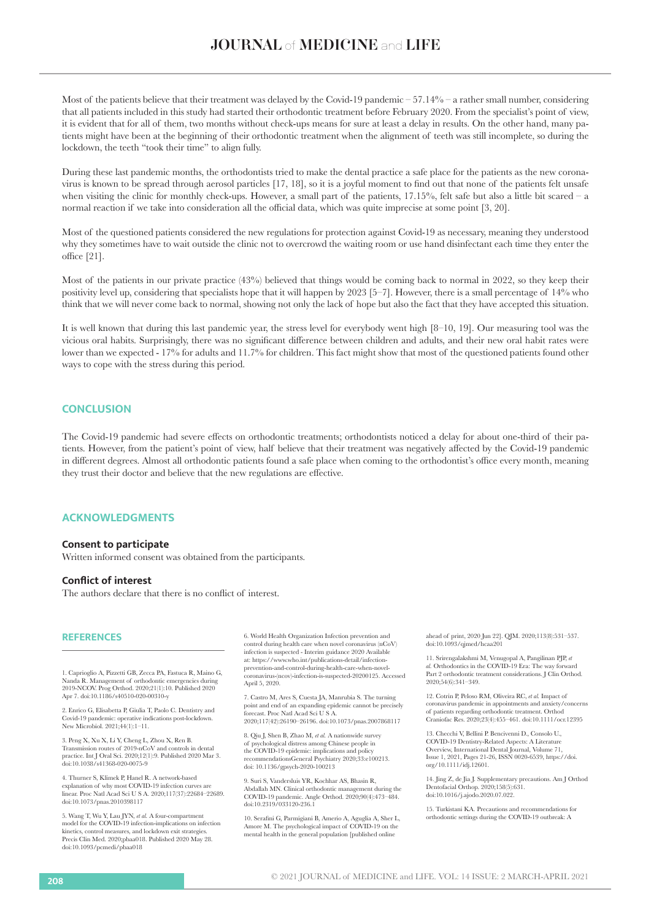Most of the patients believe that their treatment was delayed by the Covid-19 pandemic – 57.14% – a rather small number, considering that all patients included in this study had started their orthodontic treatment before February 2020. From the specialist's point of view, it is evident that for all of them, two months without check-ups means for sure at least a delay in results. On the other hand, many patients might have been at the beginning of their orthodontic treatment when the alignment of teeth was still incomplete, so during the lockdown, the teeth "took their time" to align fully.

During these last pandemic months, the orthodontists tried to make the dental practice a safe place for the patients as the new coronavirus is known to be spread through aerosol particles [17, 18], so it is a joyful moment to find out that none of the patients felt unsafe when visiting the clinic for monthly check-ups. However, a small part of the patients,  $17.15\%$ , felt safe but also a little bit scared – a normal reaction if we take into consideration all the official data, which was quite imprecise at some point [3, 20].

Most of the questioned patients considered the new regulations for protection against Covid-19 as necessary, meaning they understood why they sometimes have to wait outside the clinic not to overcrowd the waiting room or use hand disinfectant each time they enter the office [21].

Most of the patients in our private practice (43%) believed that things would be coming back to normal in 2022, so they keep their positivity level up, considering that specialists hope that it will happen by 2023 [5–7]. However, there is a small percentage of 14% who think that we will never come back to normal, showing not only the lack of hope but also the fact that they have accepted this situation.

It is well known that during this last pandemic year, the stress level for everybody went high [8–10, 19]. Our measuring tool was the vicious oral habits. Surprisingly, there was no significant difference between children and adults, and their new oral habit rates were lower than we expected - 17% for adults and 11.7% for children. This fact might show that most of the questioned patients found other ways to cope with the stress during this period.

# **CONCLUSION**

The Covid-19 pandemic had severe effects on orthodontic treatments; orthodontists noticed a delay for about one-third of their patients. However, from the patient's point of view, half believe that their treatment was negatively affected by the Covid-19 pandemic in different degrees. Almost all orthodontic patients found a safe place when coming to the orthodontist's office every month, meaning they trust their doctor and believe that the new regulations are effective.

## **ACKNOWLEDGMENTS**

## **Consent to participate**

Written informed consent was obtained from the participants.

#### **Conflict of interest**

The authors declare that there is no conflict of interest.

#### **REFERENCES**

1. Caprioglio A, Pizzetti GB, Zecca PA, Fastuca R, Maino G, Nanda R. Management of orthodontic emergencies during 2019-NCOV. Prog Orthod. 2020;21(1):10. Published 2020 Apr 7. doi:10.1186/s40510-020-00310-y

2. Enrico G, Elisabetta P, Giulia T, Paolo C. Dentistry and Covid-19 pandemic: operative indications post-lockdown. New Microbiol. 2021;44(1):1–11.

3. Peng X, Xu X, Li Y, Cheng L, Zhou X, Ren B. Transmission routes of 2019-nCoV and controls in dental practice. Int J Oral Sci. 2020;12(1):9. Published 2020 Mar 3. doi:10.1038/s41368-020-0075-9

4. Thurner S, Klimek P, Hanel R. A network-based explanation of why most COVID-19 infection curves are linear. Proc Natl Acad Sci U S A. 2020;117(37):22684–22689. doi:10.1073/pnas.2010398117

5. Wang T, Wu Y, Lau JYN, *et al.* A four-compartment model for the COVID-19 infection-implications on infection kinetics, control measures, and lockdown exit strategie Precis Clin Med. 2020;pbaa018. Published 2020 May 28. doi:10.1093/pcmedi/pbaa018

6. World Health Organization Infection prevention and control during health care when novel coronavirus (nCoV) infection is suspected - Interim guidance 2020 Available at: https://www.who.int/publications-detail/infectionprevention-and-control-during-health-care-when-novelcoronavirus-(ncov)-infection-is-suspected-20200125. Accessed April 5, 2020.

7. Castro M, Ares S, Cuesta JA, Manrubia S. The turning point and end of an expanding epidemic cannot be precisely forecast. Proc Natl Acad Sci U S A. 2020;117(42):26190–26196. doi:10.1073/pnas.2007868117

8. Qiu J, Shen B, Zhao M, *et al.* A nationwide survey of psychological distress among Chinese people in the COVID-19 epidemic: implications and policy recommendationsGeneral Psychiatry 2020;33:e100213. doi: 10.1136/gpsych-2020-100213

9. Suri S, Vandersluis YR, Kochhar AS, Bhasin R, Abdallah MN. Clinical orthodontic management during the COVID-19 pandemic. Angle Orthod. 2020;90(4):473–484. doi:10.2319/033120-236.1

10. Serafini G, Parmigiani B, Amerio A, Aguglia A, Sher L, Amore M. The psychological impact of COVID-19 on the mental health in the general population [published online

ahead of print, 2020 Jun 22]. QJM. 2020;113(8):531–537. doi:10.1093/qjmed/hcaa201

11. Srirengalakshmi M, Venugopal A, Pangilinan PJP, *et al.* Orthodontics in the COVID-19 Era: The way forward Part 2 orthodontic treatment considerations. J Clin Orthod. 2020;54(6):341–349.

12. Cotrin P, Peloso RM, Oliveira RC, *et al.* Impact of coronavirus pandemic in appointments and anxiety/concerns of patients regarding orthodontic treatment. Orthod Craniofac Res. 2020;23(4):455–461. doi:10.1111/ocr.12395

13. Checchi V, Bellini P. Bencivenni D., Consolo U., COVID-19 Dentistry-Related Aspects: A Literature Overview, International Dental Journal, Volume 71, Issue 1, 2021, Pages 21-26, ISSN 0020-6539, https://doi. org/10.1111/idj.12601.

14. Jing Z, de Jia J. Supplementary precautions. Am J Orthod Dentofacial Orthop. 2020;158(5):631. doi:10.1016/j.ajodo.2020.07.022.

15. Turkistani KA. Precautions and recommendations for orthodontic settings during the COVID-19 outbreak: A